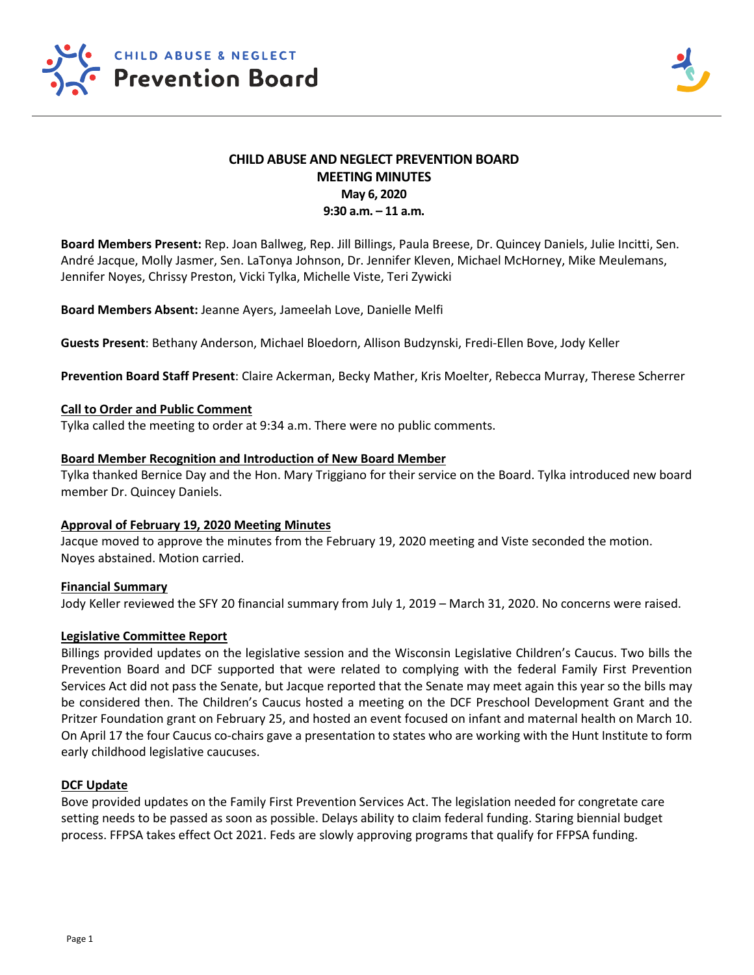

# **CHILD ABUSE AND NEGLECT PREVENTION BOARD MEETING MINUTES May 6, 2020 9:30 a.m. – 11 a.m.**

**Board Members Present:** Rep. Joan Ballweg, Rep. Jill Billings, Paula Breese, Dr. Quincey Daniels, Julie Incitti, Sen. André Jacque, Molly Jasmer, Sen. LaTonya Johnson, Dr. Jennifer Kleven, Michael McHorney, Mike Meulemans, Jennifer Noyes, Chrissy Preston, Vicki Tylka, Michelle Viste, Teri Zywicki

**Board Members Absent:** Jeanne Ayers, Jameelah Love, Danielle Melfi

**Guests Present**: Bethany Anderson, Michael Bloedorn, Allison Budzynski, Fredi-Ellen Bove, Jody Keller

**Prevention Board Staff Present**: Claire Ackerman, Becky Mather, Kris Moelter, Rebecca Murray, Therese Scherrer

### **Call to Order and Public Comment**

Tylka called the meeting to order at 9:34 a.m. There were no public comments.

### **Board Member Recognition and Introduction of New Board Member**

Tylka thanked Bernice Day and the Hon. Mary Triggiano for their service on the Board. Tylka introduced new board member Dr. Quincey Daniels.

# **Approval of February 19, 2020 Meeting Minutes**

Jacque moved to approve the minutes from the February 19, 2020 meeting and Viste seconded the motion. Noyes abstained. Motion carried.

### **Financial Summary**

Jody Keller reviewed the SFY 20 financial summary from July 1, 2019 – March 31, 2020. No concerns were raised.

# **Legislative Committee Report**

Billings provided updates on the legislative session and the Wisconsin Legislative Children's Caucus. Two bills the Prevention Board and DCF supported that were related to complying with the federal Family First Prevention Services Act did not pass the Senate, but Jacque reported that the Senate may meet again this year so the bills may be considered then. The Children's Caucus hosted a meeting on the DCF Preschool Development Grant and the Pritzer Foundation grant on February 25, and hosted an event focused on infant and maternal health on March 10. On April 17 the four Caucus co-chairs gave a presentation to states who are working with the Hunt Institute to form early childhood legislative caucuses.

# **DCF Update**

Bove provided updates on the Family First Prevention Services Act. The legislation needed for congretate care setting needs to be passed as soon as possible. Delays ability to claim federal funding. Staring biennial budget process. FFPSA takes effect Oct 2021. Feds are slowly approving programs that qualify for FFPSA funding.